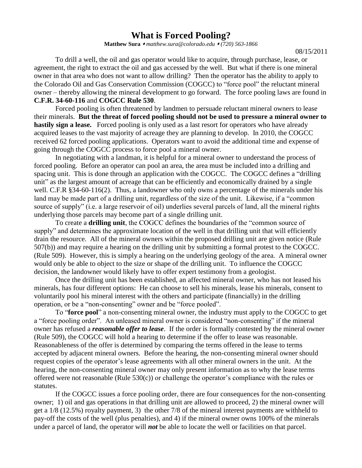## **What is Forced Pooling?**

**Matthew Sura** *[matthew.sura@colorado.edu](mailto:matthew.sura@colorado.edu) (720) 563-1866*

08/15/2011

To drill a well, the oil and gas operator would like to acquire, through purchase, lease, or agreement, the right to extract the oil and gas accessed by the well. But what if there is one mineral owner in that area who does not want to allow drilling? Then the operator has the ability to apply to the Colorado Oil and Gas Conservation Commission (COGCC) to "force pool" the reluctant mineral owner – thereby allowing the mineral development to go forward. The force pooling laws are found in **C.F.R. 34-60-116** and **COGCC Rule 530**.

Forced pooling is often threatened by landmen to persuade reluctant mineral owners to lease their minerals. **But the threat of forced pooling should not be used to pressure a mineral owner to hastily sign a lease.** Forced pooling is only used as a last resort for operators who have already acquired leases to the vast majority of acreage they are planning to develop. In 2010, the COGCC received 62 forced pooling applications. Operators want to avoid the additional time and expense of going through the COGCC process to force pool a mineral owner.

In negotiating with a landman, it is helpful for a mineral owner to understand the process of forced pooling. Before an operator can pool an area, the area must be included into a drilling and spacing unit. This is done through an application with the COGCC. The COGCC defines a "drilling" unit" as the largest amount of acreage that can be efficiently and economically drained by a single well. C.F.R §34-60-116(2). Thus, a landowner who only owns a percentage of the minerals under his land may be made part of a drilling unit, regardless of the size of the unit. Likewise, if a "common source of supply" (i.e. a large reservoir of oil) underlies several parcels of land, all the mineral rights underlying those parcels may become part of a single drilling unit.

To create a **drilling unit**, the COGCC defines the boundaries of the "common source of supply" and determines the approximate location of the well in that drilling unit that will efficiently drain the resource. All of the mineral owners within the proposed drilling unit are given notice (Rule 507(b)) and may require a hearing on the drilling unit by submitting a formal protest to the COGCC. (Rule 509). However, this is simply a hearing on the underlying geology of the area. A mineral owner would only be able to object to the size or shape of the drilling unit. To influence the COGCC decision, the landowner would likely have to offer expert testimony from a geologist.

Once the drilling unit has been established, an affected mineral owner, who has not leased his minerals, has four different options: He can choose to sell his minerals, lease his minerals, consent to voluntarily pool his mineral interest with the others and participate (financially) in the drilling operation, or be a "non-consenting" owner and be "force pooled".

To "**force pool**" a non-consenting mineral owner, the industry must apply to the COGCC to get a "force pooling order". An unleased mineral owner is considered "non-consenting" if the mineral owner has refused a *reasonable offer to lease*. If the order is formally contested by the mineral owner (Rule 509), the COGCC will hold a hearing to determine if the offer to lease was reasonable. Reasonableness of the offer is determined by comparing the terms offered in the lease to terms accepted by adjacent mineral owners. Before the hearing, the non-consenting mineral owner should request copies of the operator's lease agreements with all other mineral owners in the unit. At the hearing, the non-consenting mineral owner may only present information as to why the lease terms offered were not reasonable (Rule 530(c)) or challenge the operator's compliance with the rules or statutes.

If the COGCC issues a force pooling order, there are four consequences for the non-consenting owner; 1) oil and gas operations in that drilling unit are allowed to proceed, 2) the mineral owner will get a 1/8 (12.5%) royalty payment, 3) the other 7/8 of the mineral interest payments are withheld to pay-off the costs of the well (plus penalties), and 4) if the mineral owner owns 100% of the minerals under a parcel of land, the operator will *not* be able to locate the well or facilities on that parcel.